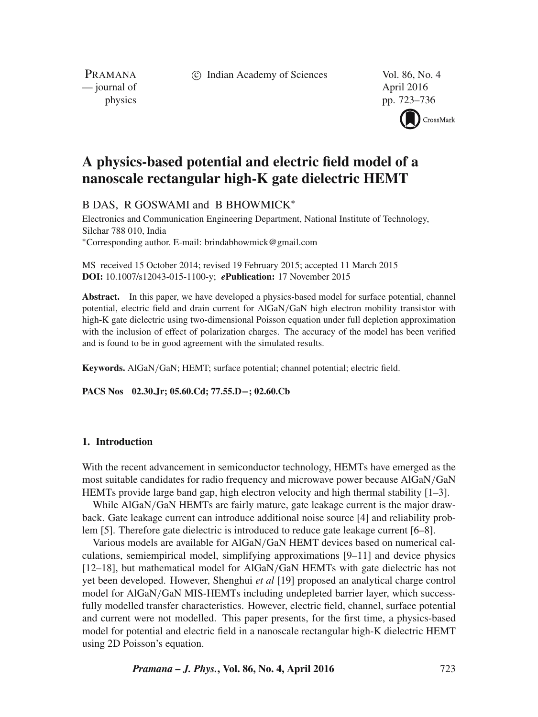c Indian Academy of Sciences Vol. 86, No. 4

PRAMANA — journal of April 2016

physics pp. 723–736



# **A physics-based potential and electric field model of a nanoscale rectangular high-K gate dielectric HEMT**

B DAS, R GOSWAMI and B BHOWMICK<sup>\*</sup>

Electronics and Communication Engineering Department, National Institute of Technology, Silchar 788 010, India

∗Corresponding author. E-mail: brindabhowmick@gmail.com

MS received 15 October 2014; revised 19 February 2015; accepted 11 March 2015 **DOI:** 10.1007/s12043-015-1100-y; *e***Publication:** 17 November 2015

**Abstract.** In this paper, we have developed a physics-based model for surface potential, channel potential, electric field and drain current for AlGaN/GaN high electron mobility transistor with high-K gate dielectric using two-dimensional Poisson equation under full depletion approximation with the inclusion of effect of polarization charges. The accuracy of the model has been verified and is found to be in good agreement with the simulated results.

**Keywords.** AlGaN/GaN; HEMT; surface potential; channel potential; electric field.

**PACS Nos 02.30.Jr; 05.60.Cd; 77.55.D−; 02.60.Cb**

### **1. Introduction**

With the recent advancement in semiconductor technology, HEMTs have emerged as the most suitable candidates for radio frequency and microwave power because AlGaN/GaN HEMTs provide large band gap, high electron velocity and high thermal stability  $[1-3]$ .

While AlGaN/GaN HEMTs are fairly mature, gate leakage current is the major drawback. Gate leakage current can introduce additional noise source [4] and reliability problem [5]. Therefore gate dielectric is introduced to reduce gate leakage current [6–8].

Various models are available for AlGaN/GaN HEMT devices based on numerical calculations, semiempirical model, simplifying approximations [9–11] and device physics [12–18], but mathematical model for AlGaN/GaN HEMTs with gate dielectric has not yet been developed. However, Shenghui *et al* [19] proposed an analytical charge control model for AlGaN/GaN MIS-HEMTs including undepleted barrier layer, which successfully modelled transfer characteristics. However, electric field, channel, surface potential and current were not modelled. This paper presents, for the first time, a physics-based model for potential and electric field in a nanoscale rectangular high-K dielectric HEMT using 2D Poisson's equation.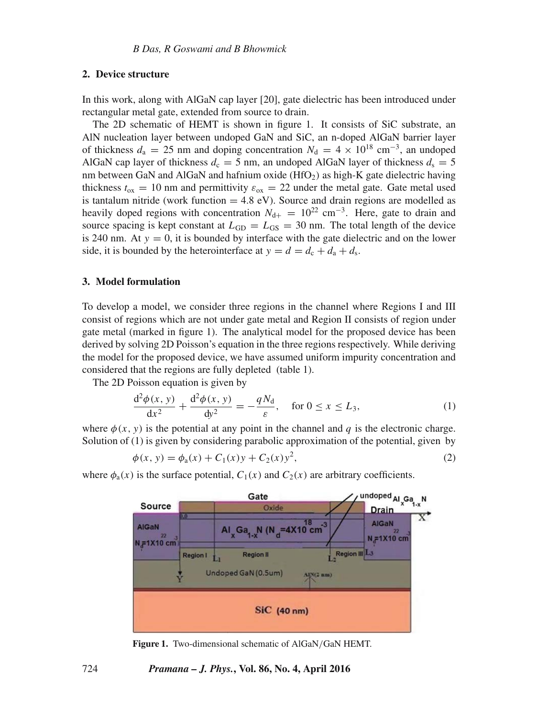#### **2. Device structure**

In this work, along with AlGaN cap layer [20], gate dielectric has been introduced under rectangular metal gate, extended from source to drain.

The 2D schematic of HEMT is shown in figure 1. It consists of SiC substrate, an AlN nucleation layer between undoped GaN and SiC, an n-doped AlGaN barrier layer of thickness  $d_a = 25$  nm and doping concentration  $N_d = 4 \times 10^{18}$  cm<sup>-3</sup>, an undoped AlGaN cap layer of thickness  $d_c = 5$  nm, an undoped AlGaN layer of thickness  $d_s = 5$ nm between GaN and AlGaN and hafnium oxide  $(HfO<sub>2</sub>)$  as high-K gate dielectric having thickness  $t_{ox} = 10$  nm and permittivity  $\varepsilon_{ox} = 22$  under the metal gate. Gate metal used is tantalum nitride (work function  $= 4.8$  eV). Source and drain regions are modelled as heavily doped regions with concentration  $N_{d+} = 10^{22}$  cm<sup>-3</sup>. Here, gate to drain and source spacing is kept constant at  $L_{GD} = L_{GS} = 30$  nm. The total length of the device is 240 nm. At  $y = 0$ , it is bounded by interface with the gate dielectric and on the lower side, it is bounded by the heterointerface at  $y = d = d_c + d_a + d_s$ .

#### **3. Model formulation**

To develop a model, we consider three regions in the channel where Regions I and III consist of regions which are not under gate metal and Region II consists of region under gate metal (marked in figure 1). The analytical model for the proposed device has been derived by solving 2D Poisson's equation in the three regions respectively. While deriving the model for the proposed device, we have assumed uniform impurity concentration and considered that the regions are fully depleted (table 1).

The 2D Poisson equation is given by

$$
\frac{d^2\phi(x, y)}{dx^2} + \frac{d^2\phi(x, y)}{dy^2} = -\frac{qN_d}{\varepsilon}, \quad \text{for } 0 \le x \le L_3,
$$
 (1)

where  $\phi(x, y)$  is the potential at any point in the channel and q is the electronic charge. Solution of (1) is given by considering parabolic approximation of the potential, given by

$$
\phi(x, y) = \phi_a(x) + C_1(x)y + C_2(x)y^2,
$$
\n(2)

where  $\phi_a(x)$  is the surface potential,  $C_1(x)$  and  $C_2(x)$  are arbitrary coefficients.



**Figure 1.** Two-dimensional schematic of AlGaN/GaN HEMT.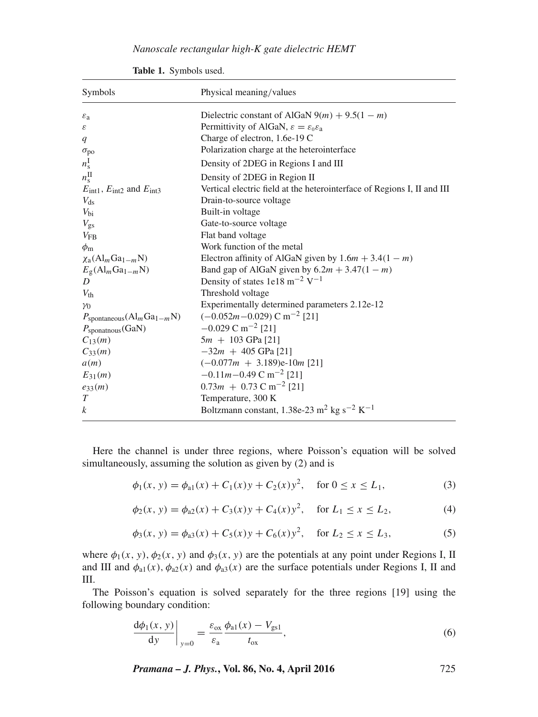*Nanoscale rectangular high-K gate dielectric HEMT*

| Symbols                                                     | Physical meaning/values                                                        |
|-------------------------------------------------------------|--------------------------------------------------------------------------------|
| $\varepsilon_a$                                             | Dielectric constant of AlGaN $9(m) + 9.5(1 - m)$                               |
| ε                                                           | Permittivity of AlGaN, $\varepsilon = \varepsilon_0 \varepsilon_a$             |
| q                                                           | Charge of electron, 1.6e-19 C                                                  |
| $\sigma_{\text{po}}$                                        | Polarization charge at the heterointerface                                     |
| $n_{\rm s}^{\rm I}$                                         | Density of 2DEG in Regions I and III                                           |
| $n_{\rm s}^{\rm II}$                                        | Density of 2DEG in Region II                                                   |
| $E_{\text{int1}}$ , $E_{\text{int2}}$ and $E_{\text{int3}}$ | Vertical electric field at the heterointerface of Regions I, II and III        |
| $V_{ds}$                                                    | Drain-to-source voltage                                                        |
| $V_{\rm bi}$                                                | Built-in voltage                                                               |
| $V_{\rm gs}$                                                | Gate-to-source voltage                                                         |
| $V_{\rm FB}$                                                | Flat band voltage                                                              |
| $\phi_{\rm m}$                                              | Work function of the metal                                                     |
| $\chi_{a}(Al_{m}Ga_{1-m}N)$                                 | Electron affinity of AlGaN given by $1.6m + 3.4(1 - m)$                        |
| $E_{\rm g}(\text{Al}_m\text{Ga}_{1-m}\text{N})$             | Band gap of AlGaN given by $6.2m + 3.47(1 - m)$                                |
| D                                                           | Density of states $1e18 \text{ m}^{-2} \text{ V}^{-1}$                         |
| $V_{\text{th}}$                                             | Threshold voltage                                                              |
| $\gamma$ <sub>0</sub>                                       | Experimentally determined parameters 2.12e-12                                  |
| $P_{\text{spontaneous}}(Al_mGa_{1-m}N)$                     | $(-0.052m - 0.029)$ C m <sup>-2</sup> [21]                                     |
| $P_{\text{sponat nous}}(\text{GaN})$                        | $-0.029$ C m <sup>-2</sup> [21]                                                |
| $C_{13}(m)$                                                 | $5m + 103$ GPa [21]                                                            |
| $C_{33}(m)$                                                 | $-32m + 405$ GPa [21]                                                          |
| a(m)                                                        | $(-0.077m + 3.189)e-10m$ [21]                                                  |
| $E_{31}(m)$                                                 | $-0.11m - 0.49$ C m <sup>-2</sup> [21]                                         |
| $e_{33}(m)$                                                 | $0.73m + 0.73$ C m <sup>-2</sup> [21]                                          |
| T                                                           | Temperature, 300 K                                                             |
| $\boldsymbol{k}$                                            | Boltzmann constant, 1.38e-23 m <sup>2</sup> kg s <sup>-2</sup> K <sup>-1</sup> |

**Table 1.** Symbols used.

Here the channel is under three regions, where Poisson's equation will be solved simultaneously, assuming the solution as given by (2) and is

$$
\phi_1(x, y) = \phi_{a1}(x) + C_1(x)y + C_2(x)y^2, \quad \text{for } 0 \le x \le L_1,
$$
 (3)

$$
\phi_2(x, y) = \phi_{a2}(x) + C_3(x)y + C_4(x)y^2, \quad \text{for } L_1 \le x \le L_2,
$$
 (4)

$$
\phi_3(x, y) = \phi_{a3}(x) + C_5(x)y + C_6(x)y^2, \quad \text{for } L_2 \le x \le L_3,
$$
 (5)

where  $\phi_1(x, y), \phi_2(x, y)$  and  $\phi_3(x, y)$  are the potentials at any point under Regions I, II and III and  $\phi_{a1}(x)$ ,  $\phi_{a2}(x)$  and  $\phi_{a3}(x)$  are the surface potentials under Regions I, II and III.

The Poisson's equation is solved separately for the three regions [19] using the following boundary condition:

$$
\left. \frac{d\phi_1(x, y)}{dy} \right|_{y=0} = \frac{\varepsilon_{ox}}{\varepsilon_a} \frac{\phi_{a1}(x) - V_{gs1}}{t_{ox}},
$$
\n(6)

*Pramana – J. Phys.***, Vol. 86, No. 4, April 2016** 725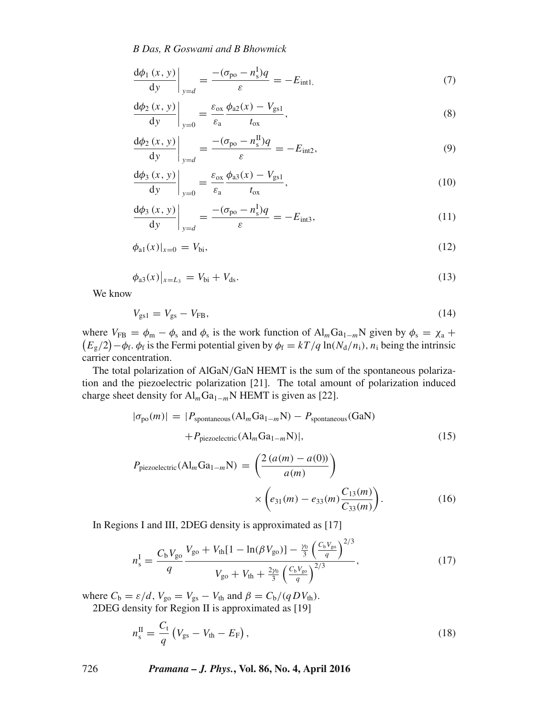$$
\left. \frac{d\phi_1(x, y)}{dy} \right|_{y=d} = \frac{-(\sigma_{\text{po}} - n_s^{\text{I}})q}{\varepsilon} = -E_{\text{int1}}.\tag{7}
$$

$$
\left. \frac{\mathrm{d}\phi_2\left(x,\,y\right)}{\mathrm{d}y} \right|_{y=0} = \frac{\varepsilon_{\text{ox}}}{\varepsilon_{\text{a}}} \frac{\phi_{\text{a}2}(x) - V_{\text{gs}1}}{t_{\text{ox}}},\tag{8}
$$

$$
\left. \frac{\mathrm{d}\phi_2\left(x,\,y\right)}{\mathrm{d}y} \right|_{y=d} = \frac{-\left(\sigma_{\text{po}} - n_{\text{s}}^{\text{II}}\right)q}{\varepsilon} = -E_{\text{int2}},\tag{9}
$$

$$
\left. \frac{d\phi_3(x, y)}{dy} \right|_{y=0} = \frac{\varepsilon_{ox}}{\varepsilon_a} \frac{\phi_{a3}(x) - V_{gs1}}{t_{ox}},\tag{10}
$$

$$
\left. \frac{\mathrm{d}\phi_3\left(x,\,y\right)}{\mathrm{d}y} \right|_{y=d} = \frac{-\left(\sigma_{\text{po}} - n_s^{\text{I}}\right)q}{\varepsilon} = -E_{\text{int3}},\tag{11}
$$

$$
\phi_{a1}(x)|_{x=0} = V_{bi},\tag{12}
$$

$$
\phi_{a3}(x)|_{x=L_3} = V_{bi} + V_{ds}.
$$
\n(13)

We know

$$
V_{gs1} = V_{gs} - V_{FB},\tag{14}
$$

where  $V_{FB} = \phi_m - \phi_s$  and  $\phi_s$  is the work function of Al<sub>m</sub>Ga<sub>1-m</sub>N given by  $\phi_s = \chi_a +$  $(E_g/2) - \phi_f$ .  $\phi_f$  is the Fermi potential given by  $\phi_f = kT/q \ln(N_d/n_i)$ ,  $n_i$  being the intrinsic carrier concentration.

The total polarization of AlGaN/GaN HEMT is the sum of the spontaneous polarization and the piezoelectric polarization [21]. The total amount of polarization induced charge sheet density for  $Al_mGa_{1-m}N$  HEMT is given as [22].

$$
|\sigma_{\text{po}}(m)| = |P_{\text{spontaneous}}(\text{Al}_m\text{Ga}_{1-m}\text{N}) - P_{\text{spontaneous}}(\text{GaN})
$$
  
+  $P_{\text{piezoelectric}}(\text{Al}_m\text{Ga}_{1-m}\text{N})|,$  (15)  

$$
P_{\text{piezoelectric}}(\text{Al}_m\text{Ga}_{1-m}\text{N}) = \left(\frac{2(a(m) - a(0))}{a(m)}\right)
$$
  

$$
\times \left(e_{31}(m) - e_{33}(m)\frac{C_{13}(m)}{C_{33}(m)}\right).
$$
 (16)

In Regions I and III, 2DEG density is approximated as [17]

$$
n_s^{\text{I}} = \frac{C_b V_{\text{go}} V_{\text{go}} + V_{\text{th}} [1 - \ln(\beta V_{\text{go}})] - \frac{\gamma_0}{3} \left(\frac{C_b V_{\text{go}}}{q}\right)^{2/3}}{V_{\text{go}} + V_{\text{th}} + \frac{2\gamma_0}{3} \left(\frac{C_b V_{\text{go}}}{q}\right)^{2/3}},\tag{17}
$$

 $2<sup>2</sup>$ 

where  $C_{\rm b} = \varepsilon/d$ ,  $V_{\rm go} = V_{\rm gs} - V_{\rm th}$  and  $\beta = C_{\rm b}/(qD V_{\rm th})$ . 2DEG density for Region II is approximated as [19]

$$
n_s^{\rm II} = \frac{C_{\rm t}}{q} \left( V_{\rm gs} - V_{\rm th} - E_{\rm F} \right),\tag{18}
$$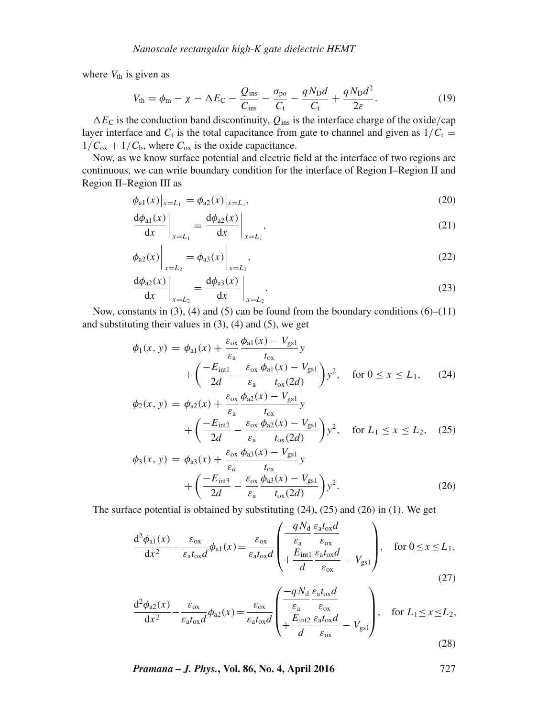where  $V_{\text{th}}$  is given as

$$
V_{\text{th}} = \phi_{\text{m}} - \chi - \Delta E_{\text{C}} - \frac{Q_{\text{ins}}}{C_{\text{ins}}} - \frac{\sigma_{\text{po}}}{C_{\text{t}}} - \frac{qN_{\text{D}}d}{C_{\text{t}}} + \frac{qN_{\text{D}}d^2}{2\varepsilon}.
$$
 (19)

 $\Delta E_C$  is the conduction band discontinuity,  $Q_{ins}$  is the interface charge of the oxide/cap layer interface and  $C_t$  is the total capacitance from gate to channel and given as  $1/C_t$  =  $1/C_{ox} + 1/C_b$ , where  $C_{ox}$  is the oxide capacitance.

Now, as we know surface potential and electric field at the interface of two regions are continuous, we can write boundary condition for the interface of Region I–Region II and Region II–Region III as

$$
\phi_{a1}(x)|_{x=L_1} = \phi_{a2}(x)|_{x=L_1},\tag{20}
$$

$$
\left. \frac{d\phi_{a1}(x)}{dx} \right|_{x=L_1} = \left. \frac{d\phi_{a2}(x)}{dx} \right|_{x=L_1},\tag{21}
$$

$$
\phi_{a2}(x)\Big|_{x=L_2} = \phi_{a3}(x)\Big|_{x=L_2},\tag{22}
$$

$$
\left. \frac{\mathrm{d}\phi_{a2}(x)}{\mathrm{d}x} \right|_{x=L_2} = \left. \frac{\mathrm{d}\phi_{a3}(x)}{\mathrm{d}x} \right|_{x=L_2} . \tag{23}
$$

Now, constants in  $(3)$ ,  $(4)$  and  $(5)$  can be found from the boundary conditions  $(6)$ – $(11)$ and substituting their values in  $(3)$ ,  $(4)$  and  $(5)$ , we get

$$
\phi_1(x, y) = \phi_{a1}(x) + \frac{\varepsilon_{ox}}{\varepsilon_a} \frac{\phi_{a1}(x) - V_{gs1}}{t_{ox}} y
$$
  
+ 
$$
\left(\frac{-E_{int1}}{2d} - \frac{\varepsilon_{ox} \phi_{a1}(x) - V_{gs1}}{\varepsilon_a} \right) y^2, \text{ for } 0 \le x \le L_1,
$$
 (24)

$$
\phi_2(x, y) = \phi_{a2}(x) + \frac{\varepsilon_{ox}}{\varepsilon_a} \frac{\phi_{a2}(x) - V_{gs1}}{t_{ox}} y
$$
  
+ 
$$
\left(\frac{-E_{int2}}{2d} - \frac{\varepsilon_{ox}}{\varepsilon_a} \frac{\phi_{a2}(x) - V_{gs1}}{t_{ox}(2d)}\right) y^2, \text{ for } L_1 \le x \le L_2, \quad (25)
$$

$$
\phi_3(x, y) = \phi_{a3}(x) + \frac{\varepsilon_{ox}}{\varepsilon_a} \frac{\phi_{a3}(x) - V_{gs1}}{t_{ox}} y
$$
  
+ 
$$
\left(\frac{-E_{\text{int3}}}{2d} - \frac{\varepsilon_{ox}}{\varepsilon_a} \frac{\phi_{a3}(x) - V_{gs1}}{t_{ox}(2d)}\right) y^2.
$$
 (26)

The surface potential is obtained by substituting (24), (25) and (26) in (1). We get

$$
\frac{d^2 \phi_{a1}(x)}{dx^2} - \frac{\varepsilon_{ox}}{\varepsilon_a t_{ox} d} \phi_{a1}(x) = \frac{\varepsilon_{ox}}{\varepsilon_a t_{ox} d} \left( \frac{-q N_d}{\varepsilon_a} \frac{\varepsilon_{a1} \varepsilon_{ox} d}{\varepsilon_{ox}} - V_{gs1} \right), \quad \text{for } 0 \le x \le L_1,
$$
\n(27)

$$
\frac{d^2 \phi_{a2}(x)}{dx^2} - \frac{\varepsilon_{ox}}{\varepsilon_a t_{ox} d} \phi_{a2}(x) = \frac{\varepsilon_{ox}}{\varepsilon_a t_{ox} d} \left( \frac{-q N_d}{\varepsilon_a} \frac{\varepsilon_{a1} \varepsilon_{ox} d}{\varepsilon_{ox}} - V_{gs1} \right), \quad \text{for } L_1 \le x \le L_2,
$$
\n(28)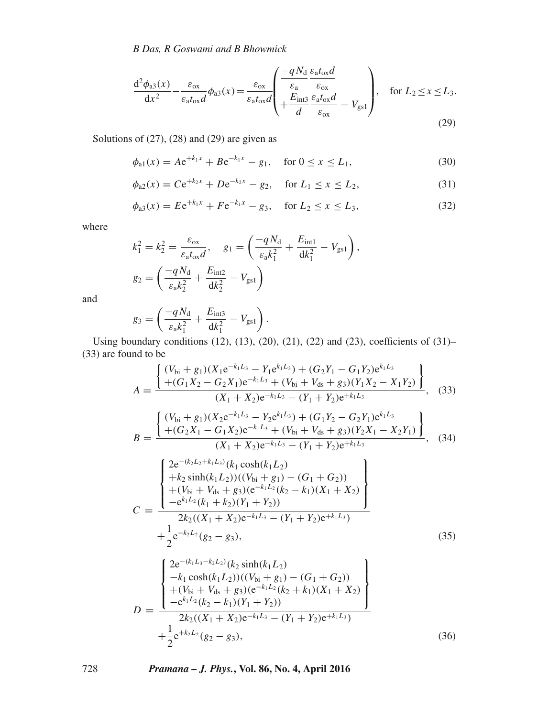$$
\frac{d^2 \phi_{a3}(x)}{dx^2} - \frac{\varepsilon_{ox}}{\varepsilon_a t_{ox} d} \phi_{a3}(x) = \frac{\varepsilon_{ox}}{\varepsilon_a t_{ox} d} \left( \frac{-q N_d}{\varepsilon_a} \frac{\varepsilon_a t_{ox} d}{\varepsilon_{ox}} - V_{gs1} \right), \quad \text{for } L_2 \le x \le L_3.
$$
\n(29)

Solutions of  $(27)$ ,  $(28)$  and  $(29)$  are given as

$$
\phi_{a1}(x) = A e^{+k_1 x} + B e^{-k_1 x} - g_1, \quad \text{for } 0 \le x \le L_1,\tag{30}
$$

$$
\phi_{a2}(x) = Ce^{+k_2x} + De^{-k_2x} - g_2, \quad \text{for } L_1 \le x \le L_2,
$$
\n(31)

$$
\phi_{a3}(x) = E e^{+k_1 x} + F e^{-k_1 x} - g_3, \quad \text{for } L_2 \le x \le L_3,
$$
 (32)

where

$$
k_1^2 = k_2^2 = \frac{\varepsilon_{ox}}{\varepsilon_{a} t_{ox} d}, \quad g_1 = \left(\frac{-q N_d}{\varepsilon_{a} k_1^2} + \frac{E_{\text{int1}}}{dk_1^2} - V_{\text{gs1}}\right),
$$
  

$$
g_2 = \left(\frac{-q N_d}{\varepsilon_{a} k_2^2} + \frac{E_{\text{int2}}}{dk_2^2} - V_{\text{gs1}}\right)
$$

and

$$
g_3 = \left(\frac{-qN_{\rm d}}{\varepsilon_{\rm a}k_1^2} + \frac{E_{\rm int3}}{\mathrm{d}k_1^2} - V_{\rm gs1}\right).
$$

Using boundary conditions (12), (13), (20), (21), (22) and (23), coefficients of (31)– (33) are found to be

$$
A = \frac{\left\{ \frac{(V_{bi} + g_1)(X_1 e^{-k_1 L_3} - Y_1 e^{k_1 L_3}) + (G_2 Y_1 - G_1 Y_2) e^{k_1 L_3}}{+(G_1 X_2 - G_2 X_1) e^{-k_1 L_3} + (V_{bi} + V_{ds} + g_3)(Y_1 X_2 - X_1 Y_2) \right\}}{(X_1 + X_2) e^{-k_1 L_3} - (Y_1 + Y_2) e^{+k_1 L_3}}, \quad (33)
$$

$$
B = \frac{\left\{ \frac{(V_{bi} + g_1)(X_2 e^{-k_1 L_3} - Y_2 e^{k_1 L_3}) + (G_1 Y_2 - G_2 Y_1) e^{k_1 L_3}}{+ (G_2 X_1 - G_1 X_2) e^{-k_1 L_3} + (V_{bi} + V_{ds} + g_3)(Y_2 X_1 - X_2 Y_1) \right\}}{(X_1 + X_2) e^{-k_1 L_3} - (Y_1 + Y_2) e^{+k_1 L_3}}, \quad (34)
$$

$$
C = \frac{\begin{cases} 2e^{-(k_2L_2+k_1L_3)}(k_1\cosh(k_1L_2) \\ +k_2\sinh(k_1L_2))((V_{bi}+g_1)-(G_1+G_2)) \\ + (V_{bi}+V_{ds}+g_3)(e^{-k_1L_2}(k_2-k_1)(X_1+X_2) \\ -e^{k_1L_2}(k_1+k_2)(Y_1+Y_2)) \end{cases}}{2k_2((X_1+X_2)e^{-k_1L_3}-(Y_1+Y_2)e^{+k_1L_3})} \tag{35}
$$

$$
D = \frac{\begin{cases} 2e^{-(k_1L_3-k_2L_2)}(k_2\sinh(k_1L_2)) \\ -k_1\cosh(k_1L_2))((V_{bi}+g_1)-(G_1+G_2)) \\ +(V_{bi}+V_{ds}+g_3)(e^{-k_1L_2}(k_2+k_1)(X_1+X_2) \\ -e^{k_1L_2}(k_2-k_1)(Y_1+Y_2)) \end{cases}}{2k_2((X_1+X_2)e^{-k_1L_3}-(Y_1+Y_2)e^{+k_1L_3})} \tag{36}
$$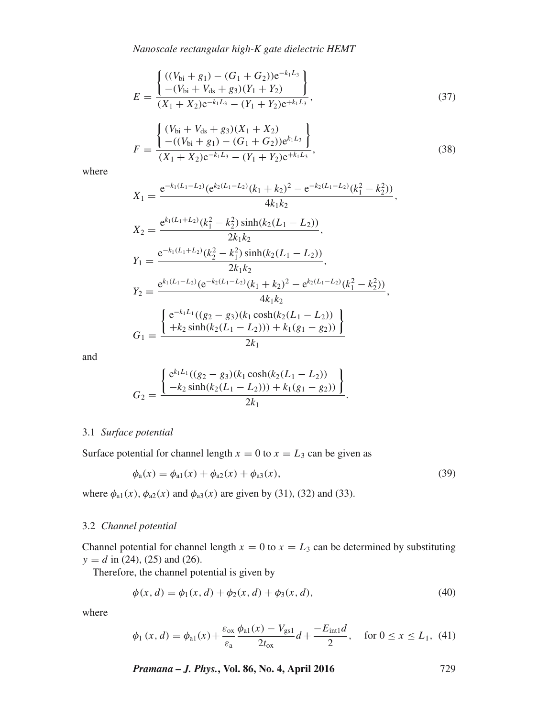$$
E = \frac{\left\{ \frac{((V_{bi} + g_1) - (G_1 + G_2))e^{-k_1 L_3}}{-(V_{bi} + V_{ds} + g_3)(Y_1 + Y_2)} \right\}}{(X_1 + X_2)e^{-k_1 L_3} - (Y_1 + Y_2)e^{+k_1 L_3}},
$$
\n(37)

$$
F = \frac{\left\{ \frac{(V_{bi} + V_{ds} + g_3)(X_1 + X_2)}{-((V_{bi} + g_1) - (G_1 + G_2))e^{k_1 L_3}} \right\}}{(X_1 + X_2)e^{-k_1 L_3} - (Y_1 + Y_2)e^{+k_1 L_3}},
$$
\n(38)

where

$$
X_1 = \frac{e^{-k_1(L_1 - L_2)} (e^{k_2(L_1 - L_2)} (k_1 + k_2)^2 - e^{-k_2(L_1 - L_2)} (k_1^2 - k_2^2))}{4k_1k_2},
$$
  
\n
$$
X_2 = \frac{e^{k_1(L_1 + L_2)} (k_1^2 - k_2^2) \sinh(k_2(L_1 - L_2))}{2k_1k_2},
$$
  
\n
$$
Y_1 = \frac{e^{-k_1(L_1 + L_2)} (k_2^2 - k_1^2) \sinh(k_2(L_1 - L_2))}{2k_1k_2},
$$
  
\n
$$
Y_2 = \frac{e^{k_1(L_1 - L_2)} (e^{-k_2(L_1 - L_2)} (k_1 + k_2)^2 - e^{k_2(L_1 - L_2)} (k_1^2 - k_2^2))}{4k_1k_2},
$$
  
\n
$$
G_1 = \frac{\left\{ e^{-k_1 L_1} ((g_2 - g_3) (k_1 \cosh(k_2(L_1 - L_2))) \right\}}{2k_1} + k_2 \sinh(k_2(L_1 - L_2))) + k_1(g_1 - g_2))\right\}}
$$

and

$$
G_2 = \frac{\left\{\frac{e^{k_1 L_1}((g_2 - g_3)(k_1 \cosh(k_2(L_1 - L_2)))}{-k_2 \sinh(k_2(L_1 - L_2))) + k_1(g_1 - g_2))}\right\}}{2k_1}.
$$

## 3.1 *Surface potential*

Surface potential for channel length  $x = 0$  to  $x = L_3$  can be given as

$$
\phi_a(x) = \phi_{a1}(x) + \phi_{a2}(x) + \phi_{a3}(x),\tag{39}
$$

where  $\phi_{a1}(x)$ ,  $\phi_{a2}(x)$  and  $\phi_{a3}(x)$  are given by (31), (32) and (33).

### 3.2 *Channel potential*

Channel potential for channel length  $x = 0$  to  $x = L_3$  can be determined by substituting  $y = d$  in (24), (25) and (26).

Therefore, the channel potential is given by

$$
\phi(x, d) = \phi_1(x, d) + \phi_2(x, d) + \phi_3(x, d),\tag{40}
$$

where

$$
\phi_1(x, d) = \phi_{a1}(x) + \frac{\varepsilon_{ox}}{\varepsilon_a} \frac{\phi_{a1}(x) - V_{gs1}}{2t_{ox}} d + \frac{-E_{int1}d}{2}, \quad \text{for } 0 \le x \le L_1, \tag{41}
$$

*Pramana – J. Phys.***, Vol. 86, No. 4, April 2016** 729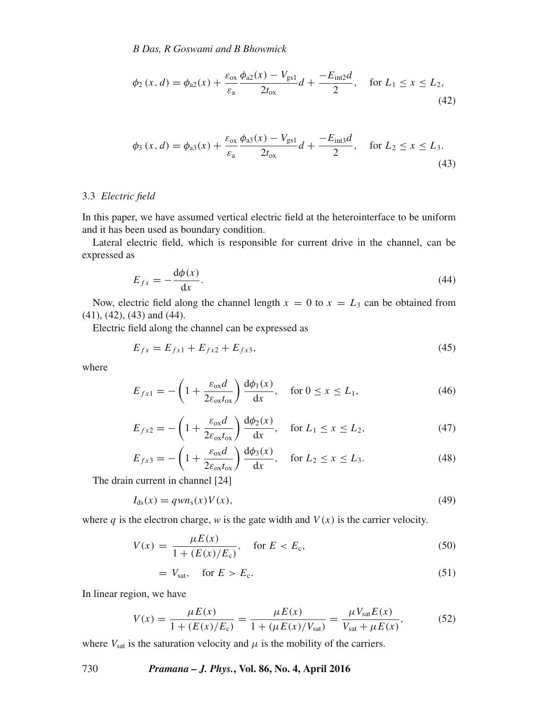*B Das, R Goswami and B Bhowmick*

$$
\phi_2(x, d) = \phi_{a2}(x) + \frac{\varepsilon_{ox}}{\varepsilon_a} \frac{\phi_{a2}(x) - V_{gs1}}{2t_{ox}} d + \frac{-E_{int2}d}{2}, \quad \text{for } L_1 \le x \le L_2,
$$
\n(42)

$$
\phi_3(x, d) = \phi_{a3}(x) + \frac{\varepsilon_{ox}}{\varepsilon_a} \frac{\phi_{a3}(x) - V_{gs1}}{2t_{ox}} d + \frac{-E_{\text{int3}}d}{2}, \quad \text{for } L_2 \le x \le L_3.
$$
\n(43)

#### 3.3 *Electric field*

In this paper, we have assumed vertical electric field at the heterointerface to be uniform and it has been used as boundary condition.

Lateral electric field, which is responsible for current drive in the channel, can be expressed as

$$
E_{fx} = -\frac{\mathrm{d}\phi(x)}{\mathrm{d}x}.\tag{44}
$$

Now, electric field along the channel length  $x = 0$  to  $x = L_3$  can be obtained from (41), (42), (43) and (44).

Electric field along the channel can be expressed as

$$
E_{fx} = E_{fx1} + E_{fx2} + E_{fx3},\tag{45}
$$

where

$$
E_{fx1} = -\left(1 + \frac{\varepsilon_{\text{ox}}d}{2\varepsilon_{\text{ox}}t_{\text{ox}}}\right)\frac{\mathrm{d}\phi_1(x)}{\mathrm{d}x}, \quad \text{for } 0 \le x \le L_1,\tag{46}
$$

$$
E_{fx2} = -\left(1 + \frac{\varepsilon_{ox}d}{2\varepsilon_{ox}t_{ox}}\right)\frac{d\phi_2(x)}{dx}, \quad \text{for } L_1 \le x \le L_2,
$$
 (47)

$$
E_{fx3} = -\left(1 + \frac{\varepsilon_{ox}d}{2\varepsilon_{ox}t_{ox}}\right)\frac{d\phi_3(x)}{dx}, \quad \text{for } L_2 \le x \le L_3. \tag{48}
$$

The drain current in channel [24]

$$
I_{\text{ds}}(x) = q w n_{\text{s}}(x) V(x),\tag{49}
$$

where q is the electron charge,  $w$  is the gate width and  $V(x)$  is the carrier velocity.

$$
V(x) = \frac{\mu E(x)}{1 + (E(x)/E_c)}, \quad \text{for } E < E_c,\tag{50}
$$

$$
= V_{\text{sat}}, \quad \text{for } E > E_{\text{c}}.\tag{51}
$$

In linear region, we have

$$
V(x) = \frac{\mu E(x)}{1 + (E(x)/E_{c})} = \frac{\mu E(x)}{1 + (\mu E(x)/V_{sat})} = \frac{\mu V_{sat} E(x)}{V_{sat} + \mu E(x)},
$$
(52)

where  $V_{\text{sat}}$  is the saturation velocity and  $\mu$  is the mobility of the carriers.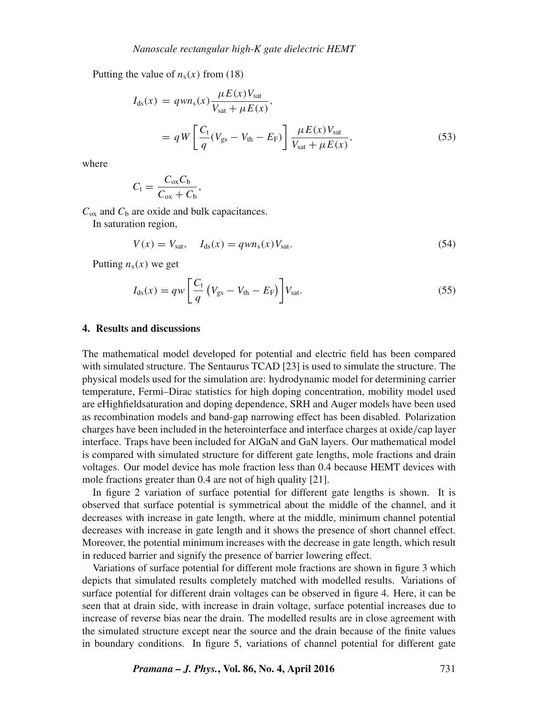Putting the value of  $n_s(x)$  from (18)

$$
I_{\rm ds}(x) = q w n_{\rm s}(x) \frac{\mu E(x) V_{\rm sat}}{V_{\rm sat} + \mu E(x)},
$$
  
= 
$$
q W \left[ \frac{C_{\rm t}}{q} (V_{\rm gs} - V_{\rm th} - E_{\rm F}) \right] \frac{\mu E(x) V_{\rm sat}}{V_{\rm sat} + \mu E(x)},
$$
(53)

where

$$
C_{\rm t}=\frac{C_{\rm ox}C_{\rm b}}{C_{\rm ox}+C_{\rm b}},
$$

 $C_{\text{ox}}$  and  $C_{\text{b}}$  are oxide and bulk capacitances.

In saturation region,

$$
V(x) = Vsat, \quad Ids(x) = q w ns(x) Vsat.
$$
\n(54)

Putting  $n_s(x)$  we get

$$
I_{\rm ds}(x) = qw \left[ \frac{C_{\rm t}}{q} \left( V_{\rm gs} - V_{\rm th} - E_{\rm F} \right) \right] V_{\rm sat}.
$$

#### **4. Results and discussions**

The mathematical model developed for potential and electric field has been compared with simulated structure. The Sentaurus TCAD [23] is used to simulate the structure. The physical models used for the simulation are: hydrodynamic model for determining carrier temperature, Fermi–Dirac statistics for high doping concentration, mobility model used are eHighfieldsaturation and doping dependence, SRH and Auger models have been used as recombination models and band-gap narrowing effect has been disabled. Polarization charges have been included in the heterointerface and interface charges at oxide/cap layer interface. Traps have been included for AlGaN and GaN layers. Our mathematical model is compared with simulated structure for different gate lengths, mole fractions and drain voltages. Our model device has mole fraction less than 0.4 because HEMT devices with mole fractions greater than 0.4 are not of high quality [21].

In figure 2 variation of surface potential for different gate lengths is shown. It is observed that surface potential is symmetrical about the middle of the channel, and it decreases with increase in gate length, where at the middle, minimum channel potential decreases with increase in gate length and it shows the presence of short channel effect. Moreover, the potential minimum increases with the decrease in gate length, which result in reduced barrier and signify the presence of barrier lowering effect.

Variations of surface potential for different mole fractions are shown in figure 3 which depicts that simulated results completely matched with modelled results. Variations of surface potential for different drain voltages can be observed in figure 4. Here, it can be seen that at drain side, with increase in drain voltage, surface potential increases due to increase of reverse bias near the drain. The modelled results are in close agreement with the simulated structure except near the source and the drain because of the finite values in boundary conditions. In figure 5, variations of channel potential for different gate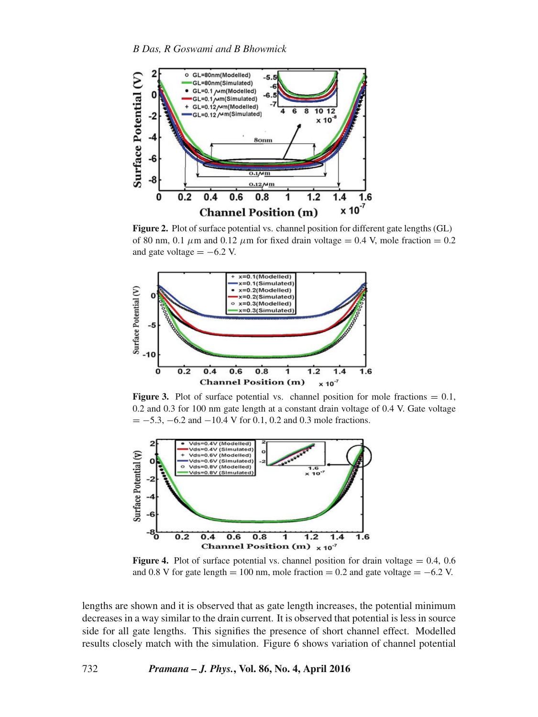

Figure 2. Plot of surface potential vs. channel position for different gate lengths (GL) of 80 nm, 0.1  $\mu$ m and 0.12  $\mu$ m for fixed drain voltage = 0.4 V, mole fraction = 0.2 and gate voltage  $= -6.2$  V.



**Figure 3.** Plot of surface potential vs. channel position for mole fractions  $= 0.1$ , 0.2 and 0.3 for 100 nm gate length at a constant drain voltage of 0.4 V. Gate voltage  $= -5.3, -6.2$  and  $-10.4$  V for 0.1, 0.2 and 0.3 mole fractions.



**Figure 4.** Plot of surface potential vs. channel position for drain voltage  $= 0.4$ , 0.6 and 0.8 V for gate length = 100 nm, mole fraction = 0.2 and gate voltage =  $-6.2$  V.

lengths are shown and it is observed that as gate length increases, the potential minimum decreases in a way similar to the drain current. It is observed that potential is less in source side for all gate lengths. This signifies the presence of short channel effect. Modelled results closely match with the simulation. Figure 6 shows variation of channel potential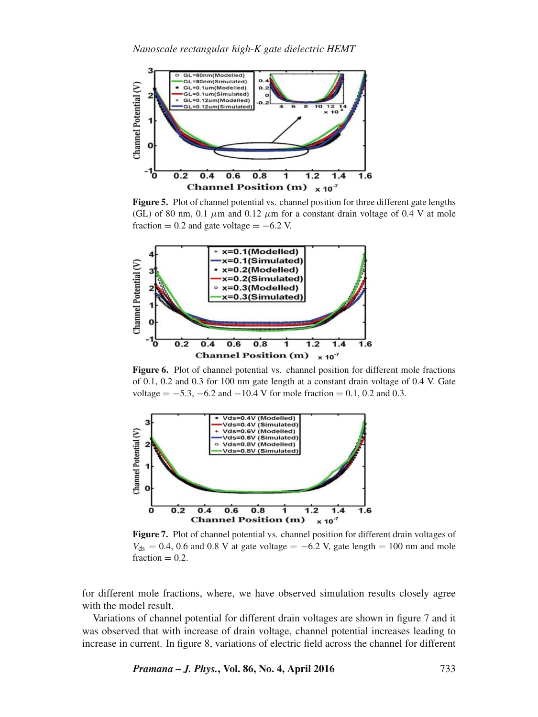

**Figure 5.** Plot of channel potential vs. channel position for three different gate lengths (GL) of 80 nm, 0.1  $\mu$ m and 0.12  $\mu$ m for a constant drain voltage of 0.4 V at mole fraction = 0.2 and gate voltage =  $-6.2$  V.



Figure 6. Plot of channel potential vs. channel position for different mole fractions of 0.1, 0.2 and 0.3 for 100 nm gate length at a constant drain voltage of 0.4 V. Gate voltage  $= -5.3, -6.2$  and  $-10.4$  V for mole fraction  $= 0.1, 0.2$  and 0.3.



**Figure 7.** Plot of channel potential vs. channel position for different drain voltages of  $V_{ds} = 0.4$ , 0.6 and 0.8 V at gate voltage = -6.2 V, gate length = 100 nm and mole  $fraction = 0.2$ .

for different mole fractions, where, we have observed simulation results closely agree with the model result.

Variations of channel potential for different drain voltages are shown in figure 7 and it was observed that with increase of drain voltage, channel potential increases leading to increase in current. In figure 8, variations of electric field across the channel for different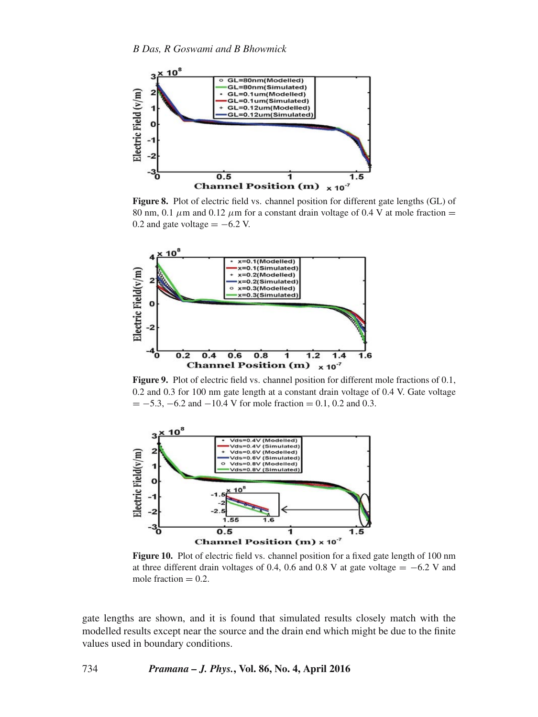

**Figure 8.** Plot of electric field vs. channel position for different gate lengths (GL) of 80 nm, 0.1  $\mu$ m and 0.12  $\mu$ m for a constant drain voltage of 0.4 V at mole fraction = 0.2 and gate voltage  $= -6.2$  V.



Figure 9. Plot of electric field vs. channel position for different mole fractions of 0.1, 0.2 and 0.3 for 100 nm gate length at a constant drain voltage of 0.4 V. Gate voltage  $= -5.3, -6.2$  and  $-10.4$  V for mole fraction  $= 0.1, 0.2$  and 0.3.



**Figure 10.** Plot of electric field vs. channel position for a fixed gate length of 100 nm at three different drain voltages of 0.4, 0.6 and 0.8 V at gate voltage  $= -6.2$  V and mole fraction  $= 0.2$ .

gate lengths are shown, and it is found that simulated results closely match with the modelled results except near the source and the drain end which might be due to the finite values used in boundary conditions.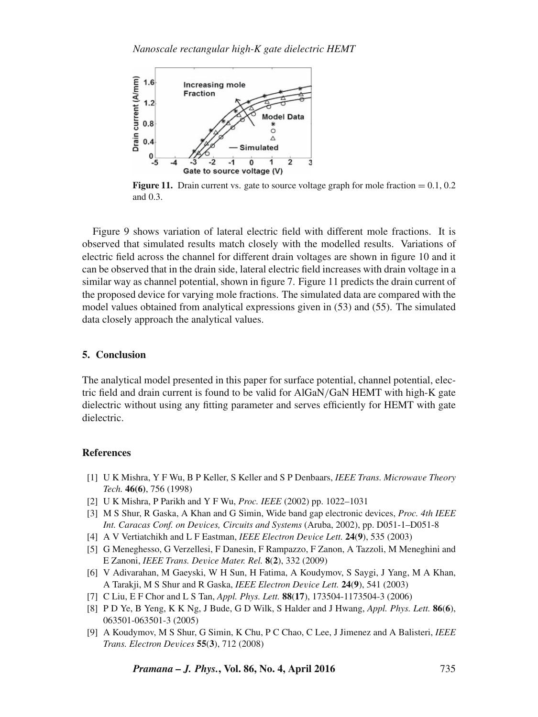

**Figure 11.** Drain current vs. gate to source voltage graph for mole fraction  $= 0.1, 0.2$ and 0.3.

Figure 9 shows variation of lateral electric field with different mole fractions. It is observed that simulated results match closely with the modelled results. Variations of electric field across the channel for different drain voltages are shown in figure 10 and it can be observed that in the drain side, lateral electric field increases with drain voltage in a similar way as channel potential, shown in figure 7. Figure 11 predicts the drain current of the proposed device for varying mole fractions. The simulated data are compared with the model values obtained from analytical expressions given in (53) and (55). The simulated data closely approach the analytical values.

#### **5. Conclusion**

The analytical model presented in this paper for surface potential, channel potential, electric field and drain current is found to be valid for AlGaN/GaN HEMT with high-K gate dielectric without using any fitting parameter and serves efficiently for HEMT with gate dielectric.

#### **References**

- [1] U K Mishra, Y F Wu, B P Keller, S Keller and S P Denbaars, *IEEE Trans. Microwa*v*e Theory Tech.* **46(6)**, 756 (1998)
- [2] U K Mishra, P Parikh and Y F Wu, *Proc. IEEE* (2002) pp. 1022–1031
- [3] M S Shur, R Gaska, A Khan and G Simin, Wide band gap electronic devices, *Proc. 4th IEEE Int. Caracas Conf. on De*v*ices, Circuits and Systems* (Aruba, 2002), pp. D051-1–D051-8
- [4] A V Vertiatchikh and L F Eastman, *IEEE Electron De*v*ice Lett.* **24**(**9**), 535 (2003)
- [5] G Meneghesso, G Verzellesi, F Danesin, F Rampazzo, F Zanon, A Tazzoli, M Meneghini and E Zanoni, *IEEE Trans. De*v*ice Mater. Rel.* **8**(**2**), 332 (2009)
- [6] V Adivarahan, M Gaeyski, W H Sun, H Fatima, A Koudymov, S Saygi, J Yang, M A Khan, A Tarakji, M S Shur and R Gaska, *IEEE Electron De*v*ice Lett.* **24**(**9**), 541 (2003)
- [7] C Liu, E F Chor and L S Tan, *Appl. Phys. Lett.* **88**(**17**), 173504-1173504-3 (2006)
- [8] P D Ye, B Yeng, K K Ng, J Bude, G D Wilk, S Halder and J Hwang, *Appl. Phys. Lett.* **86**(**6**), 063501-063501-3 (2005)
- [9] A Koudymov, M S Shur, G Simin, K Chu, P C Chao, C Lee, J Jimenez and A Balisteri, *IEEE Trans. Electron De*v*ices* **55**(**3**), 712 (2008)